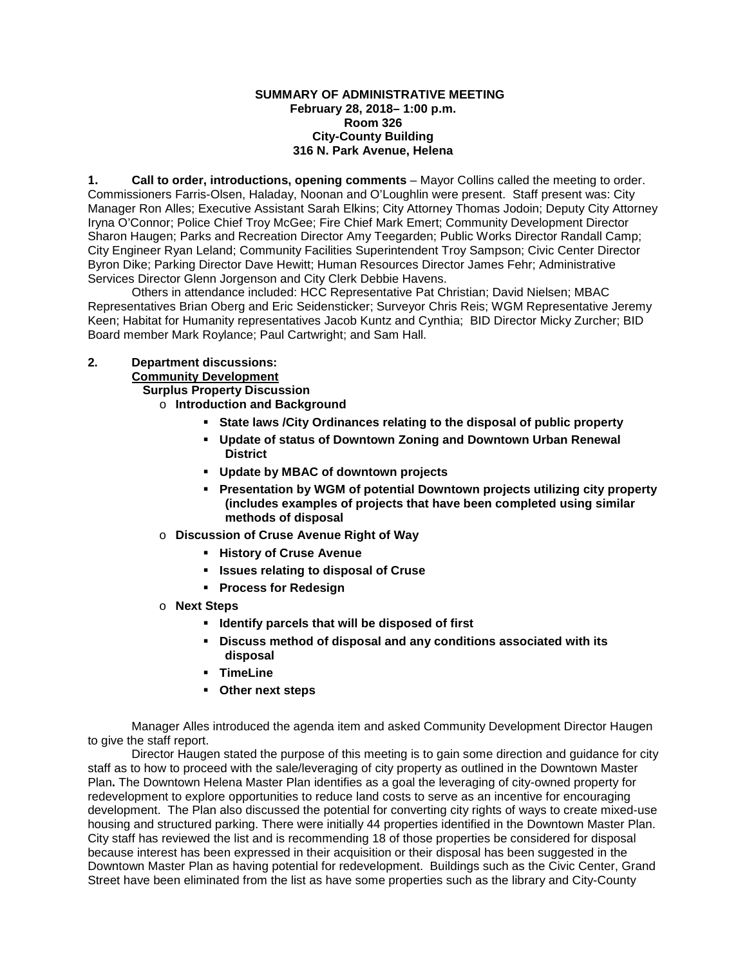## **SUMMARY OF ADMINISTRATIVE MEETING February 28, 2018– 1:00 p.m. Room 326 City-County Building 316 N. Park Avenue, Helena**

**1. Call to order, introductions, opening comments** – Mayor Collins called the meeting to order. Commissioners Farris-Olsen, Haladay, Noonan and O'Loughlin were present. Staff present was: City Manager Ron Alles; Executive Assistant Sarah Elkins; City Attorney Thomas Jodoin; Deputy City Attorney Iryna O'Connor; Police Chief Troy McGee; Fire Chief Mark Emert; Community Development Director Sharon Haugen; Parks and Recreation Director Amy Teegarden; Public Works Director Randall Camp; City Engineer Ryan Leland; Community Facilities Superintendent Troy Sampson; Civic Center Director Byron Dike; Parking Director Dave Hewitt; Human Resources Director James Fehr; Administrative Services Director Glenn Jorgenson and City Clerk Debbie Havens.

Others in attendance included: HCC Representative Pat Christian; David Nielsen; MBAC Representatives Brian Oberg and Eric Seidensticker; Surveyor Chris Reis; WGM Representative Jeremy Keen; Habitat for Humanity representatives Jacob Kuntz and Cynthia; BID Director Micky Zurcher; BID Board member Mark Roylance; Paul Cartwright; and Sam Hall.

## **2. Department discussions:**

**Community Development**

**Surplus Property Discussion** 

- o **Introduction and Background**
	- **State laws /City Ordinances relating to the disposal of public property**
	- **Update of status of Downtown Zoning and Downtown Urban Renewal District**
	- **Update by MBAC of downtown projects**
	- **Presentation by WGM of potential Downtown projects utilizing city property (includes examples of projects that have been completed using similar methods of disposal**
- o **Discussion of Cruse Avenue Right of Way**
	- **History of Cruse Avenue**
	- **Issues relating to disposal of Cruse**
	- **Process for Redesign**
- o **Next Steps**
	- **IDENTIFY FIGURE:** Identify parcels that will be disposed of first
	- **Discuss method of disposal and any conditions associated with its disposal**
	- **TimeLine**
	- **Other next steps**

Manager Alles introduced the agenda item and asked Community Development Director Haugen to give the staff report.

Director Haugen stated the purpose of this meeting is to gain some direction and guidance for city staff as to how to proceed with the sale/leveraging of city property as outlined in the Downtown Master Plan**.** The Downtown Helena Master Plan identifies as a goal the leveraging of city-owned property for redevelopment to explore opportunities to reduce land costs to serve as an incentive for encouraging development. The Plan also discussed the potential for converting city rights of ways to create mixed-use housing and structured parking. There were initially 44 properties identified in the Downtown Master Plan. City staff has reviewed the list and is recommending 18 of those properties be considered for disposal because interest has been expressed in their acquisition or their disposal has been suggested in the Downtown Master Plan as having potential for redevelopment. Buildings such as the Civic Center, Grand Street have been eliminated from the list as have some properties such as the library and City-County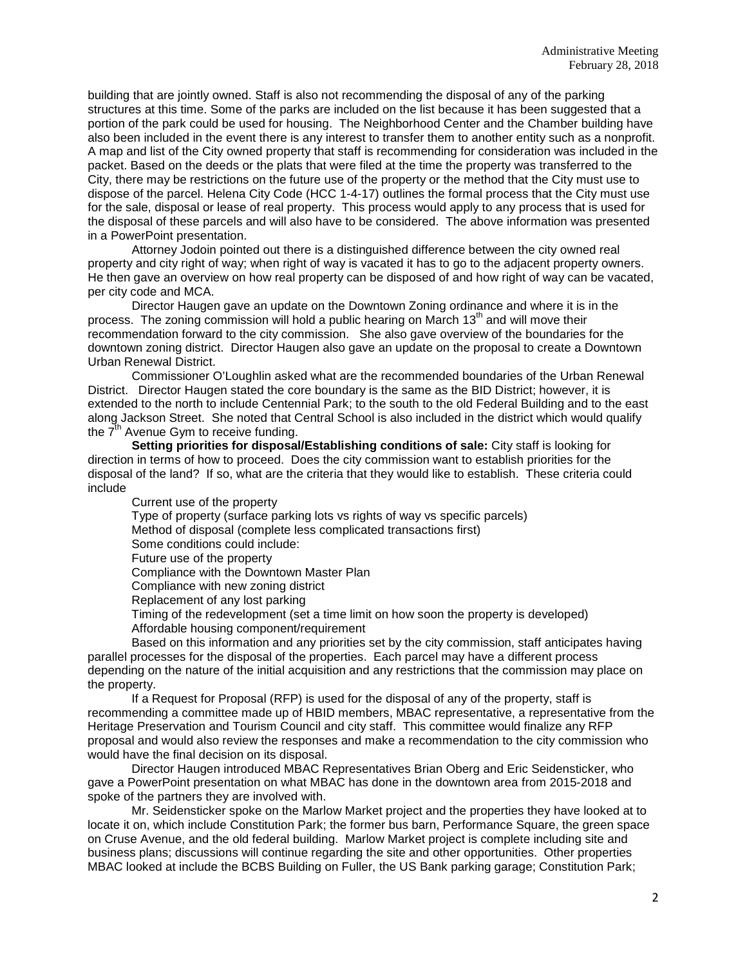building that are jointly owned. Staff is also not recommending the disposal of any of the parking structures at this time. Some of the parks are included on the list because it has been suggested that a portion of the park could be used for housing. The Neighborhood Center and the Chamber building have also been included in the event there is any interest to transfer them to another entity such as a nonprofit. A map and list of the City owned property that staff is recommending for consideration was included in the packet. Based on the deeds or the plats that were filed at the time the property was transferred to the City, there may be restrictions on the future use of the property or the method that the City must use to dispose of the parcel. Helena City Code (HCC 1-4-17) outlines the formal process that the City must use for the sale, disposal or lease of real property. This process would apply to any process that is used for the disposal of these parcels and will also have to be considered. The above information was presented in a PowerPoint presentation.

Attorney Jodoin pointed out there is a distinguished difference between the city owned real property and city right of way; when right of way is vacated it has to go to the adjacent property owners. He then gave an overview on how real property can be disposed of and how right of way can be vacated, per city code and MCA.

Director Haugen gave an update on the Downtown Zoning ordinance and where it is in the process. The zoning commission will hold a public hearing on March  $13<sup>th</sup>$  and will move their recommendation forward to the city commission. She also gave overview of the boundaries for the downtown zoning district. Director Haugen also gave an update on the proposal to create a Downtown Urban Renewal District.

Commissioner O'Loughlin asked what are the recommended boundaries of the Urban Renewal District. Director Haugen stated the core boundary is the same as the BID District; however, it is extended to the north to include Centennial Park; to the south to the old Federal Building and to the east along Jackson Street. She noted that Central School is also included in the district which would qualify the  $7<sup>th</sup>$  Avenue Gym to receive funding.

**Setting priorities for disposal/Establishing conditions of sale:** City staff is looking for direction in terms of how to proceed. Does the city commission want to establish priorities for the disposal of the land? If so, what are the criteria that they would like to establish. These criteria could include

Current use of the property Type of property (surface parking lots vs rights of way vs specific parcels) Method of disposal (complete less complicated transactions first) Some conditions could include: Future use of the property Compliance with the Downtown Master Plan Compliance with new zoning district Replacement of any lost parking Timing of the redevelopment (set a time limit on how soon the property is developed) Affordable housing component/requirement Based on this information and any priorities set by the city commission, staff anticipates having parallel processes for the disposal of the properties. Each parcel may have a different process depending on the nature of the initial acquisition and any restrictions that the commission may place on the property.

If a Request for Proposal (RFP) is used for the disposal of any of the property, staff is recommending a committee made up of HBID members, MBAC representative, a representative from the Heritage Preservation and Tourism Council and city staff. This committee would finalize any RFP proposal and would also review the responses and make a recommendation to the city commission who would have the final decision on its disposal.

Director Haugen introduced MBAC Representatives Brian Oberg and Eric Seidensticker, who gave a PowerPoint presentation on what MBAC has done in the downtown area from 2015-2018 and spoke of the partners they are involved with.

Mr. Seidensticker spoke on the Marlow Market project and the properties they have looked at to locate it on, which include Constitution Park; the former bus barn, Performance Square, the green space on Cruse Avenue, and the old federal building. Marlow Market project is complete including site and business plans; discussions will continue regarding the site and other opportunities. Other properties MBAC looked at include the BCBS Building on Fuller, the US Bank parking garage; Constitution Park;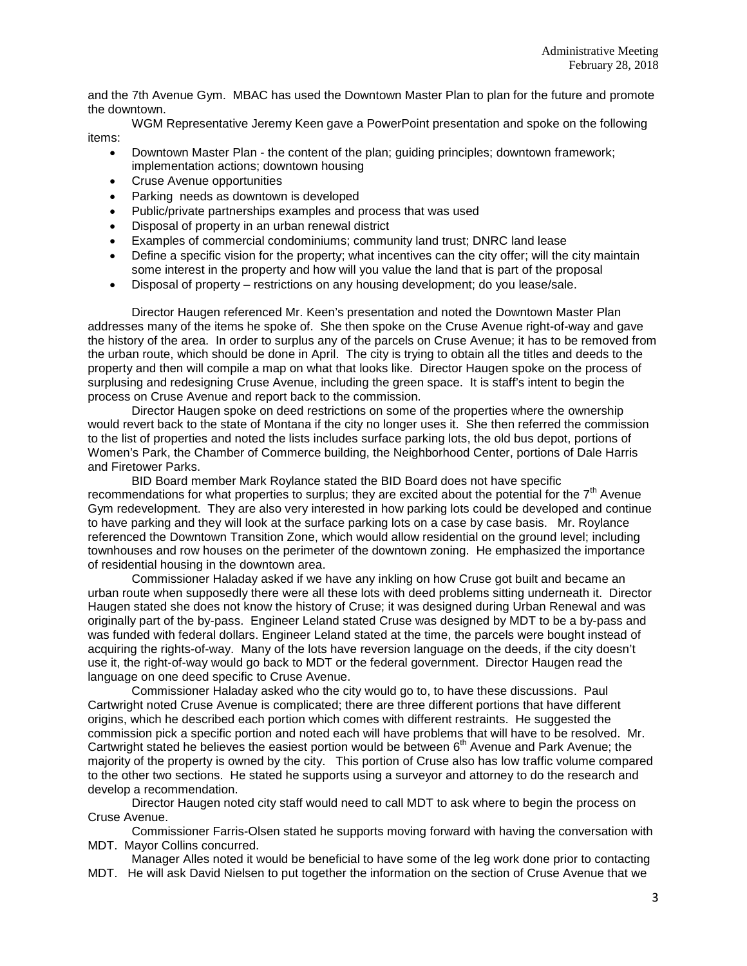and the 7th Avenue Gym. MBAC has used the Downtown Master Plan to plan for the future and promote the downtown.

WGM Representative Jeremy Keen gave a PowerPoint presentation and spoke on the following items:

- Downtown Master Plan the content of the plan; guiding principles; downtown framework; implementation actions; downtown housing
- Cruse Avenue opportunities
- Parking needs as downtown is developed
- Public/private partnerships examples and process that was used
- Disposal of property in an urban renewal district
- Examples of commercial condominiums; community land trust; DNRC land lease
- Define a specific vision for the property; what incentives can the city offer; will the city maintain some interest in the property and how will you value the land that is part of the proposal
- Disposal of property restrictions on any housing development; do you lease/sale.

Director Haugen referenced Mr. Keen's presentation and noted the Downtown Master Plan addresses many of the items he spoke of. She then spoke on the Cruse Avenue right-of-way and gave the history of the area. In order to surplus any of the parcels on Cruse Avenue; it has to be removed from the urban route, which should be done in April. The city is trying to obtain all the titles and deeds to the property and then will compile a map on what that looks like. Director Haugen spoke on the process of surplusing and redesigning Cruse Avenue, including the green space. It is staff's intent to begin the process on Cruse Avenue and report back to the commission.

Director Haugen spoke on deed restrictions on some of the properties where the ownership would revert back to the state of Montana if the city no longer uses it. She then referred the commission to the list of properties and noted the lists includes surface parking lots, the old bus depot, portions of Women's Park, the Chamber of Commerce building, the Neighborhood Center, portions of Dale Harris and Firetower Parks.

BID Board member Mark Roylance stated the BID Board does not have specific recommendations for what properties to surplus; they are excited about the potential for the  $7<sup>th</sup>$  Avenue Gym redevelopment. They are also very interested in how parking lots could be developed and continue to have parking and they will look at the surface parking lots on a case by case basis. Mr. Roylance referenced the Downtown Transition Zone, which would allow residential on the ground level; including townhouses and row houses on the perimeter of the downtown zoning. He emphasized the importance of residential housing in the downtown area.

Commissioner Haladay asked if we have any inkling on how Cruse got built and became an urban route when supposedly there were all these lots with deed problems sitting underneath it. Director Haugen stated she does not know the history of Cruse; it was designed during Urban Renewal and was originally part of the by-pass. Engineer Leland stated Cruse was designed by MDT to be a by-pass and was funded with federal dollars. Engineer Leland stated at the time, the parcels were bought instead of acquiring the rights-of-way. Many of the lots have reversion language on the deeds, if the city doesn't use it, the right-of-way would go back to MDT or the federal government. Director Haugen read the language on one deed specific to Cruse Avenue.

Commissioner Haladay asked who the city would go to, to have these discussions. Paul Cartwright noted Cruse Avenue is complicated; there are three different portions that have different origins, which he described each portion which comes with different restraints. He suggested the commission pick a specific portion and noted each will have problems that will have to be resolved. Mr. Cartwright stated he believes the easiest portion would be between 6<sup>th</sup> Avenue and Park Avenue; the majority of the property is owned by the city. This portion of Cruse also has low traffic volume compared to the other two sections. He stated he supports using a surveyor and attorney to do the research and develop a recommendation.

Director Haugen noted city staff would need to call MDT to ask where to begin the process on Cruse Avenue.

Commissioner Farris-Olsen stated he supports moving forward with having the conversation with MDT. Mayor Collins concurred.

Manager Alles noted it would be beneficial to have some of the leg work done prior to contacting

MDT. He will ask David Nielsen to put together the information on the section of Cruse Avenue that we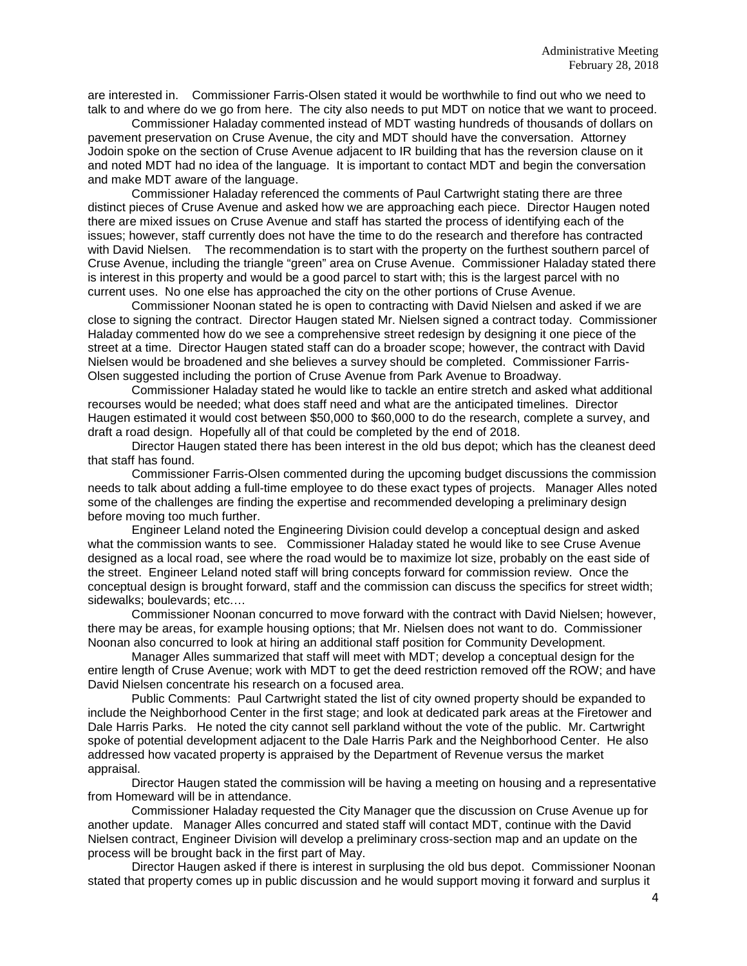are interested in. Commissioner Farris-Olsen stated it would be worthwhile to find out who we need to talk to and where do we go from here. The city also needs to put MDT on notice that we want to proceed.

Commissioner Haladay commented instead of MDT wasting hundreds of thousands of dollars on pavement preservation on Cruse Avenue, the city and MDT should have the conversation. Attorney Jodoin spoke on the section of Cruse Avenue adjacent to IR building that has the reversion clause on it and noted MDT had no idea of the language. It is important to contact MDT and begin the conversation and make MDT aware of the language.

Commissioner Haladay referenced the comments of Paul Cartwright stating there are three distinct pieces of Cruse Avenue and asked how we are approaching each piece. Director Haugen noted there are mixed issues on Cruse Avenue and staff has started the process of identifying each of the issues; however, staff currently does not have the time to do the research and therefore has contracted with David Nielsen. The recommendation is to start with the property on the furthest southern parcel of Cruse Avenue, including the triangle "green" area on Cruse Avenue. Commissioner Haladay stated there is interest in this property and would be a good parcel to start with; this is the largest parcel with no current uses. No one else has approached the city on the other portions of Cruse Avenue.

Commissioner Noonan stated he is open to contracting with David Nielsen and asked if we are close to signing the contract. Director Haugen stated Mr. Nielsen signed a contract today. Commissioner Haladay commented how do we see a comprehensive street redesign by designing it one piece of the street at a time. Director Haugen stated staff can do a broader scope; however, the contract with David Nielsen would be broadened and she believes a survey should be completed. Commissioner Farris-Olsen suggested including the portion of Cruse Avenue from Park Avenue to Broadway.

Commissioner Haladay stated he would like to tackle an entire stretch and asked what additional recourses would be needed; what does staff need and what are the anticipated timelines. Director Haugen estimated it would cost between \$50,000 to \$60,000 to do the research, complete a survey, and draft a road design. Hopefully all of that could be completed by the end of 2018.

Director Haugen stated there has been interest in the old bus depot; which has the cleanest deed that staff has found.

Commissioner Farris-Olsen commented during the upcoming budget discussions the commission needs to talk about adding a full-time employee to do these exact types of projects. Manager Alles noted some of the challenges are finding the expertise and recommended developing a preliminary design before moving too much further.

Engineer Leland noted the Engineering Division could develop a conceptual design and asked what the commission wants to see. Commissioner Haladay stated he would like to see Cruse Avenue designed as a local road, see where the road would be to maximize lot size, probably on the east side of the street. Engineer Leland noted staff will bring concepts forward for commission review. Once the conceptual design is brought forward, staff and the commission can discuss the specifics for street width; sidewalks: boulevards; etc....

Commissioner Noonan concurred to move forward with the contract with David Nielsen; however, there may be areas, for example housing options; that Mr. Nielsen does not want to do. Commissioner Noonan also concurred to look at hiring an additional staff position for Community Development.

Manager Alles summarized that staff will meet with MDT; develop a conceptual design for the entire length of Cruse Avenue; work with MDT to get the deed restriction removed off the ROW; and have David Nielsen concentrate his research on a focused area.

Public Comments: Paul Cartwright stated the list of city owned property should be expanded to include the Neighborhood Center in the first stage; and look at dedicated park areas at the Firetower and Dale Harris Parks. He noted the city cannot sell parkland without the vote of the public. Mr. Cartwright spoke of potential development adjacent to the Dale Harris Park and the Neighborhood Center. He also addressed how vacated property is appraised by the Department of Revenue versus the market appraisal.

Director Haugen stated the commission will be having a meeting on housing and a representative from Homeward will be in attendance.

Commissioner Haladay requested the City Manager que the discussion on Cruse Avenue up for another update. Manager Alles concurred and stated staff will contact MDT, continue with the David Nielsen contract, Engineer Division will develop a preliminary cross-section map and an update on the process will be brought back in the first part of May.

Director Haugen asked if there is interest in surplusing the old bus depot. Commissioner Noonan stated that property comes up in public discussion and he would support moving it forward and surplus it